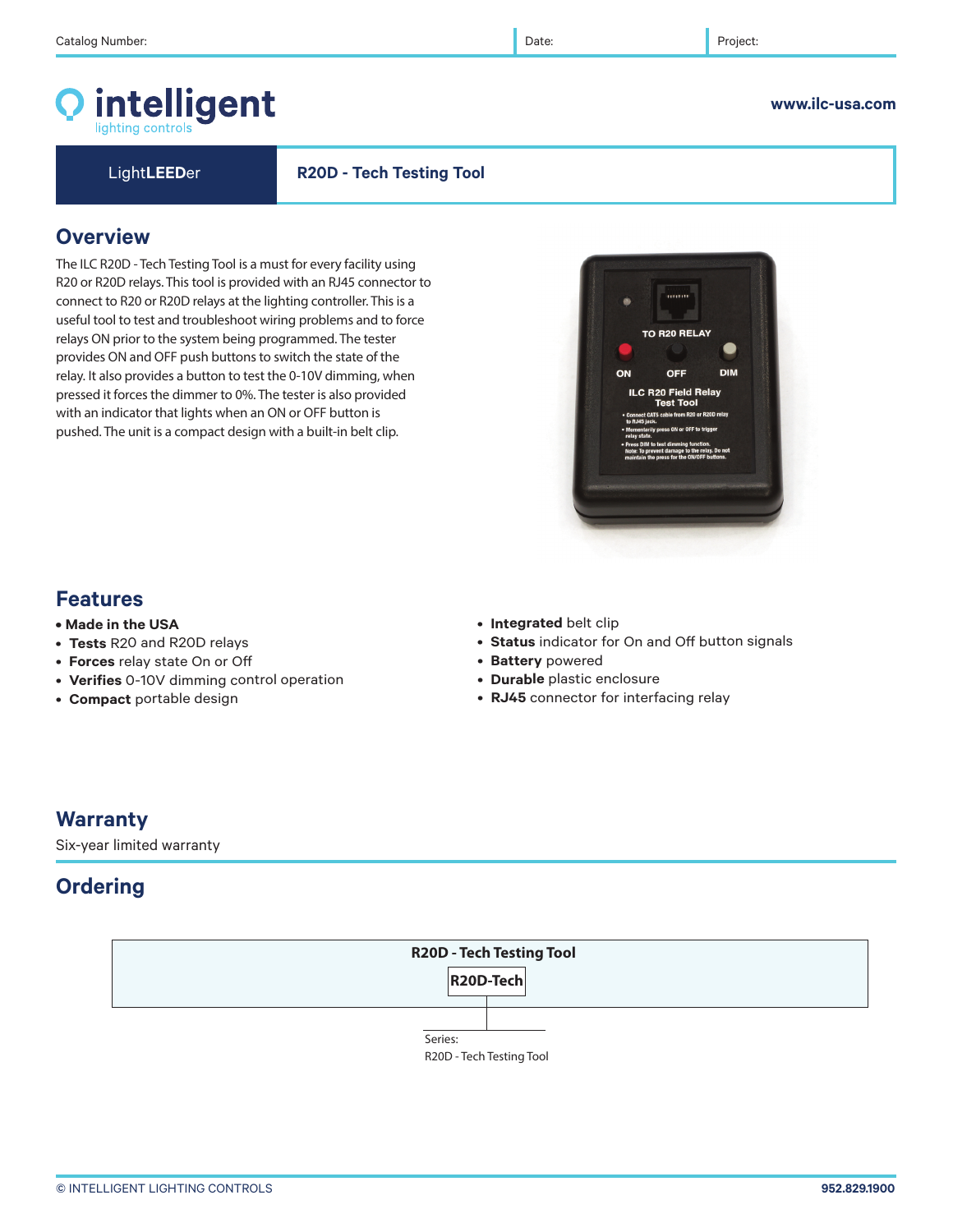# intelligent lighting controls

### **www.ilc-usa.com**

Light**LEED**er **R20D - Tech Testing Tool**

# **Overview**

The ILC R20D - Tech Testing Tool is a must for every facility using R20 or R20D relays. This tool is provided with an RJ45 connector to connect to R20 or R20D relays at the lighting controller. This is a useful tool to test and troubleshoot wiring problems and to force relays ON prior to the system being programmed. The tester provides ON and OFF push buttons to switch the state of the relay. It also provides a button to test the 0-10V dimming, when pressed it forces the dimmer to 0%. The tester is also provided with an indicator that lights when an ON or OFF button is pushed. The unit is a compact design with a built-in belt clip.

# **Features**

- **Made in the USA**
- **Tests** R20 and R20D relays
- **Forces** relay state On or Off
- **Verifies** 0-10V dimming control operation
- **Compact** portable design
- **Integrated** belt clip
- **Status** indicator for On and Off button signals
- **Battery** powered
- **Durable** plastic enclosure
- **RJ45** connector for interfacing relay

### **Warranty**

Six-year limited warranty

# **Ordering**